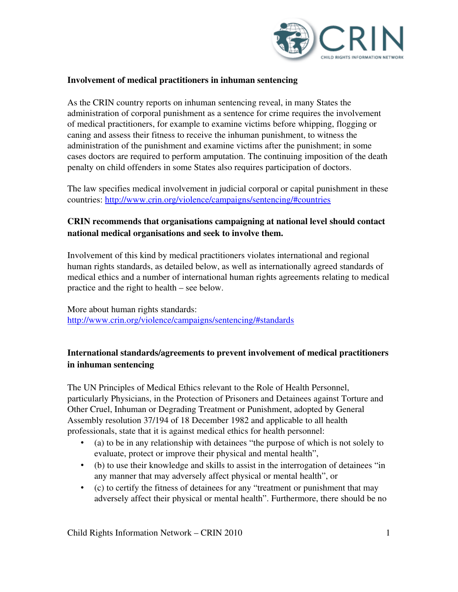

## Involvement of medical practitioners in inhuman sentencing

As the CRIN country reports on inhuman sentencing reveal, in many States the administration of corporal punishment as a sentence for crime requires the involvement of medical practitioners, for example to examine victims before whipping, flogging or caning and assess their fitness to receive the inhuman punishment, to witness the administration of the punishment and examine victims after the punishment; in some cases doctors are required to perform amputation. The continuing imposition of the death penalty on child offenders in some States also requires participation of doctors.

The law specifies medical involvement in judicial corporal or capital punishment in these countries:<http://www.crin.org/violence/campaigns/sentencing/#countries>

## CRIN recommends that organisations campaigning at national level should contact national medical organisations and seek to involve them.

Involvement of this kind by medical practitioners violates international and regional human rights standards, as detailed below, as well as internationally agreed standards of medical ethics and a number of international human rights agreements relating to medical practice and the right to health – see below.

More about human rights standards: <http://www.crin.org/violence/campaigns/sentencing/#standards>

## International standards/agreements to prevent involvement of medical practitioners in inhuman sentencing

The UN Principles of Medical Ethics relevant to the Role of Health Personnel, particularly Physicians, in the Protection of Prisoners and Detainees against Torture and Other Cruel, Inhuman or Degrading Treatment or Punishment, adopted by General Assembly resolution 37/194 of 18 December 1982 and applicable to all health professionals, state that it is against medical ethics for health personnel:

- (a) to be in any relationship with detainees "the purpose of which is not solely to evaluate, protect or improve their physical and mental health",
- (b) to use their knowledge and skills to assist in the interrogation of detainees "in any manner that may adversely affect physical or mental health", or
- (c) to certify the fitness of detainees for any "treatment or punishment that may adversely affect their physical or mental health". Furthermore, there should be no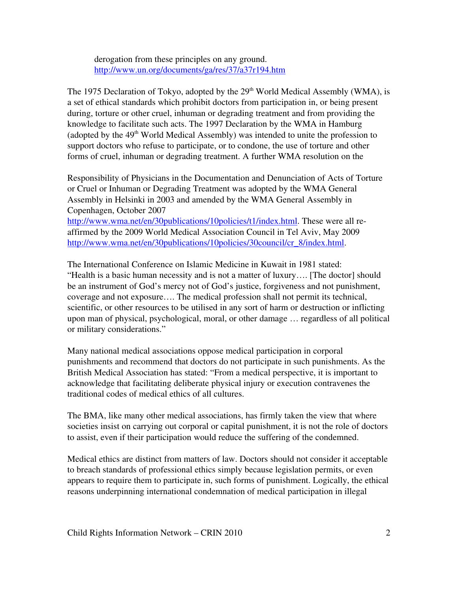derogation from these principles on any ground. <http://www.un.org/documents/ga/res/37/a37r194.htm>

The 1975 Declaration of Tokyo, adopted by the  $29<sup>th</sup>$  World Medical Assembly (WMA), is a set of ethical standards which prohibit doctors from participation in, or being present during, torture or other cruel, inhuman or degrading treatment and from providing the knowledge to facilitate such acts. The 1997 Declaration by the WMA in Hamburg (adopted by the  $49<sup>th</sup>$  World Medical Assembly) was intended to unite the profession to support doctors who refuse to participate, or to condone, the use of torture and other forms of cruel, inhuman or degrading treatment. A further WMA resolution on the

Responsibility of Physicians in the Documentation and Denunciation of Acts of Torture or Cruel or Inhuman or Degrading Treatment was adopted by the WMA General Assembly in Helsinki in 2003 and amended by the WMA General Assembly in Copenhagen, October 2007

[http://www.wma.net/en/30publications/10policies/t1/index.html.](http://www.wma.net/en/30publications/10policies/t1/index.html) These were all reaffirmed by the 2009 World Medical Association Council in Tel Aviv, May 2009 [http://www.wma.net/en/30publications/10policies/30council/cr\\_8/index.html.](http://www.wma.net/en/30publications/10policies/30council/cr_8/index.html)

The International Conference on Islamic Medicine in Kuwait in 1981 stated: "Health is a basic human necessity and is not a matter of luxury…. [The doctor] should be an instrument of God's mercy not of God's justice, forgiveness and not punishment, coverage and not exposure…. The medical profession shall not permit its technical, scientific, or other resources to be utilised in any sort of harm or destruction or inflicting upon man of physical, psychological, moral, or other damage … regardless of all political or military considerations."

Many national medical associations oppose medical participation in corporal punishments and recommend that doctors do not participate in such punishments. As the British Medical Association has stated: "From a medical perspective, it is important to acknowledge that facilitating deliberate physical injury or execution contravenes the traditional codes of medical ethics of all cultures.

The BMA, like many other medical associations, has firmly taken the view that where societies insist on carrying out corporal or capital punishment, it is not the role of doctors to assist, even if their participation would reduce the suffering of the condemned.

Medical ethics are distinct from matters of law. Doctors should not consider it acceptable to breach standards of professional ethics simply because legislation permits, or even appears to require them to participate in, such forms of punishment. Logically, the ethical reasons underpinning international condemnation of medical participation in illegal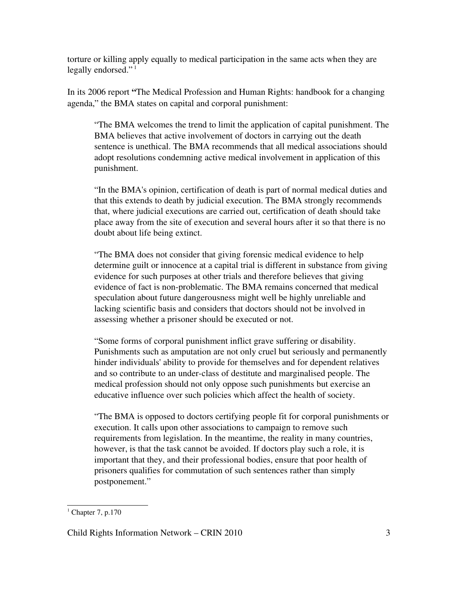torture or killing apply equally to medical participation in the same acts when they are legally endorsed."<sup>[1](#page-2-0)</sup>

In its 2006 report "The Medical Profession and Human Rights: handbook for a changing agenda," the BMA states on capital and corporal punishment:

"The BMA welcomes the trend to limit the application of capital punishment. The BMA believes that active involvement of doctors in carrying out the death sentence is unethical. The BMA recommends that all medical associations should adopt resolutions condemning active medical involvement in application of this punishment.

"In the BMA's opinion, certification of death is part of normal medical duties and that this extends to death by judicial execution. The BMA strongly recommends that, where judicial executions are carried out, certification of death should take place away from the site of execution and several hours after it so that there is no doubt about life being extinct.

"The BMA does not consider that giving forensic medical evidence to help determine guilt or innocence at a capital trial is different in substance from giving evidence for such purposes at other trials and therefore believes that giving evidence of fact is non-problematic. The BMA remains concerned that medical speculation about future dangerousness might well be highly unreliable and lacking scientific basis and considers that doctors should not be involved in assessing whether a prisoner should be executed or not.

"Some forms of corporal punishment inflict grave suffering or disability. Punishments such as amputation are not only cruel but seriously and permanently hinder individuals' ability to provide for themselves and for dependent relatives and so contribute to an under-class of destitute and marginalised people. The medical profession should not only oppose such punishments but exercise an educative influence over such policies which affect the health of society.

"The BMA is opposed to doctors certifying people fit for corporal punishments or execution. It calls upon other associations to campaign to remove such requirements from legislation. In the meantime, the reality in many countries, however, is that the task cannot be avoided. If doctors play such a role, it is important that they, and their professional bodies, ensure that poor health of prisoners qualifies for commutation of such sentences rather than simply postponement."

<span id="page-2-0"></span><sup>&</sup>lt;sup>1</sup> Chapter 7, p.170